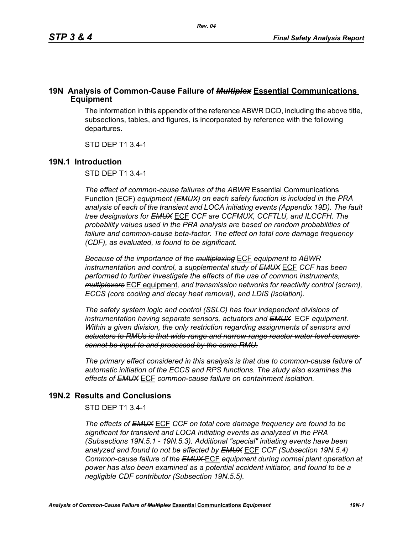# **19N Analysis of Common-Cause Failure of** *Multiplex* **Essential Communications Equipment**

The information in this appendix of the reference ABWR DCD, including the above title, subsections, tables, and figures, is incorporated by reference with the following departures.

STD DEP T1 3.4-1

#### **19N.1 Introduction**

STD DEP T1 3.4-1

*The effect of common-cause failures of the ABWR* Essential Communications Function (ECF) *equipment (EMUX) on each safety function is included in the PRA analysis of each of the transient and LOCA initiating events (Appendix 19D). The fault tree designators for EMUX* ECF *CCF are CCFMUX, CCFTLU, and ILCCFH. The probability values used in the PRA analysis are based on random probabilities of failure and common-cause beta-factor. The effect on total core damage frequency (CDF), as evaluated, is found to be significant.* 

*Because of the importance of the multiplexing* ECF *equipment to ABWR instrumentation and control, a supplemental study of EMUX* ECF *CCF has been performed to further investigate the effects of the use of common instruments, multiplexers* ECF equipment*, and transmission networks for reactivity control (scram), ECCS (core cooling and decay heat removal), and LDIS (isolation).* 

*The safety system logic and control (SSLC) has four independent divisions of instrumentation having separate sensors, actuators and EMUX* ECF *equipment. Within a given division, the only restriction regarding assignments of sensors and actuators to RMUs is that wide-range and narrow-range reactor water level sensors cannot be input to and processed by the same RMU.*

*The primary effect considered in this analysis is that due to common-cause failure of automatic initiation of the ECCS and RPS functions. The study also examines the effects of EMUX* ECF *common-cause failure on containment isolation.* 

## **19N.2 Results and Conclusions**

STD DEP T1 3.4-1

*The effects of EMUX* ECF *CCF on total core damage frequency are found to be significant for transient and LOCA initiating events as analyzed in the PRA (Subsections 19N.5.1 - 19N.5.3). Additional "special" initiating events have been analyzed and found to not be affected by EMUX* ECF *CCF (Subsection 19N.5.4) Common-cause failure of the EMUX* ECF *equipment during normal plant operation at power has also been examined as a potential accident initiator, and found to be a negligible CDF contributor (Subsection 19N.5.5).*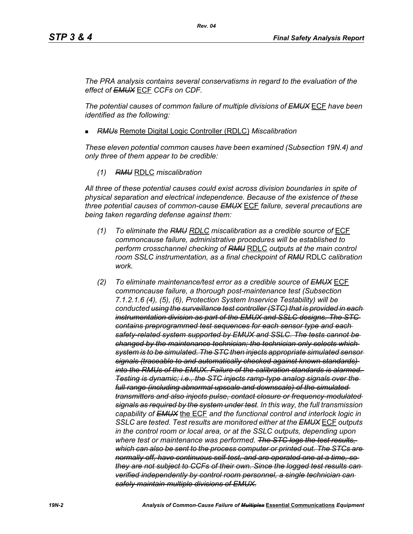*The PRA analysis contains several conservatisms in regard to the evaluation of the effect of EMUX* ECF *CCFs on CDF.* 

*The potential causes of common failure of multiple divisions of EMUX* ECF *have been identified as the following:*

*RMUs* Remote Digital Logic Controller (RDLC) *Miscalibration*

*These eleven potential common causes have been examined (Subsection 19N.4) and only three of them appear to be credible:*

*(1) RMU* RDLC *miscalibration*

*All three of these potential causes could exist across division boundaries in spite of physical separation and electrical independence. Because of the existence of these three potential causes of common-cause EMUX* ECF *failure, several precautions are being taken regarding defense against them:*

- *(1) To eliminate the RMU RDLC miscalibration as a credible source of* ECF *commoncause failure, administrative procedures will be established to perform crosschannel checking of RMU* RDLC *outputs at the main control room SSLC instrumentation, as a final checkpoint of RMU* RDLC *calibration work.*
- *(2) To eliminate maintenance/test error as a credible source of EMUX* ECF *commoncause failure, a thorough post-maintenance test (Subsection 7.1.2.1.6 (4), (5), (6), Protection System Inservice Testability) will be conducted using the surveillance test controller (STC) that is provided in each instrumentation division as part of the EMUX and SSLC designs. The STC contains preprogrammed test sequences for each sensor type and each safety-related system supported by EMUX and SSLC. The tests cannot be changed by the maintenance technician; the technician only selects which system is to be simulated. The STC then injects appropriate simulated sensor signals (traceable to and automatically checked against known standards) into the RMUs of the EMUX. Failure of the calibration standards is alarmed. Testing is dynamic; i.e., the STC injects ramp-type analog signals over the full range (including abnormal upscale and downscale) of the simulated transmitters and also injects pulse, contact closure or frequency-modulated signals as required by the system under test. In this way, the full transmission capability of EMUX* the ECF *and the functional control and interlock logic in SSLC are tested. Test results are monitored either at the EMUX* ECF *outputs in the control room or local area, or at the SSLC outputs, depending upon where test or maintenance was performed. The STC logs the test results, which can also be sent to the process computer or printed out. The STCs are normally off, have continuous self-test, and are operated one at a time, so they are not subject to CCFs of their own. Since the logged test results can verified independently by control room personnel, a single technician can safely maintain multiple divisions of EMUX.*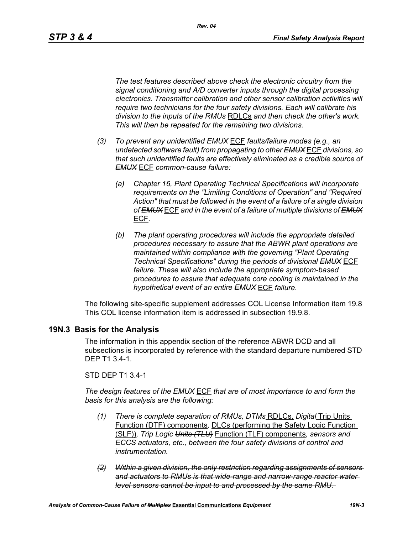*Rev. 04*

*The test features described above check the electronic circuitry from the signal conditioning and A/D converter inputs through the digital processing electronics. Transmitter calibration and other sensor calibration activities will require two technicians for the four safety divisions. Each will calibrate his division to the inputs of the RMUs* RDLCs *and then check the other's work. This will then be repeated for the remaining two divisions.*

- *(3) To prevent any unidentified EMUX* ECF *faults/failure modes (e.g., an undetected software fault) from propagating to other EMUX* ECF *divisions, so that such unidentified faults are effectively eliminated as a credible source of EMUX* ECF *common-cause failure:* 
	- *(a) Chapter 16, Plant Operating Technical Specifications will incorporate requirements on the "Limiting Conditions of Operation" and "Required Action" that must be followed in the event of a failure of a single division of EMUX* ECF *and in the event of a failure of multiple divisions of EMUX* ECF*.*
	- *(b) The plant operating procedures will include the appropriate detailed procedures necessary to assure that the ABWR plant operations are maintained within compliance with the governing "Plant Operating Technical Specifications" during the periods of divisional EMUX* ECF *failure. These will also include the appropriate symptom-based procedures to assure that adequate core cooling is maintained in the hypothetical event of an entire EMUX* ECF *failure.*

The following site-specific supplement addresses COL License Information item 19.8 This COL license information item is addressed in subsection 19.9.8.

## **19N.3 Basis for the Analysis**

The information in this appendix section of the reference ABWR DCD and all subsections is incorporated by reference with the standard departure numbered STD DEP T1 3.4-1.

STD DEP T1 3.4-1

*The design features of the EMUX* ECF *that are of most importance to and form the basis for this analysis are the following:*

- *(1) There is complete separation of RMUs, DTMs* RDLCs, *Digital* Trip Units Function (DTF) components*,* DLCs (performing the Safety Logic Function (SLF))*, Trip Logic Units (TLU)* Function (TLF) components*, sensors and ECCS actuators, etc., between the four safety divisions of control and instrumentation.*
- *(2) Within a given division, the only restriction regarding assignments of sensors and actuators to RMUs is that wide-range and narrow-range reactor water level sensors cannot be input to and processed by the same RMU.*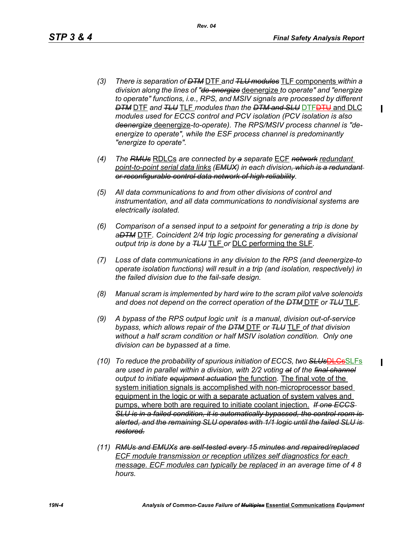ı

- *(3) There is separation of DTM* DTF *and TLU modules* TLF components *within a division along the lines of "de-energize* deenergize *to operate" and "energize to operate" functions, i.e., RPS, and MSIV signals are processed by different DTM* DTF *and TLU* TLF *modules than the DTM and SLU* DTFDTU and DLC *modules used for ECCS control and PCV isolation (PCV isolation is also deenergize* deenergize*-to-operate). The RPS/MSIV process channel is "deenergize to operate", while the ESF process channel is predominantly "energize to operate".*
- *(4) The RMUs* RDLCs *are connected by a separate* ECF *network redundant point-to-point serial data links (EMUX) in each division, which is a redundant or reconfigurable control data network of high reliability.*
- *(5) All data communications to and from other divisions of control and instrumentation, and all data communications to nondivisional systems are electrically isolated.*
- *(6) Comparison of a sensed input to a setpoint for generating a trip is done by aDTM* DTF*. Coincident 2/4 trip logic processing for generating a divisional output trip is done by a TLU* TLF *or* DLC performing the SLF*.*
- *(7) Loss of data communications in any division to the RPS (and deenergize-to operate isolation functions) will result in a trip (and isolation, respectively) in the failed division due to the fail-safe design.*
- *(8) Manual scram is implemented by hard wire to the scram pilot valve solenoids and does not depend on the correct operation of the DTM* DTF *or TLU* TLF*.*
- *(9) A bypass of the RPS output logic unit is a manual, division out-of-service bypass, which allows repair of the DTM* DTF *or TLU* TLF *of that division without a half scram condition or half MSIV isolation condition. Only one division can be bypassed at a time.*
- *(10) To reduce the probability of spurious initiation of ECCS, two SLUs*DLCsSLFs *are used in parallel within a division, with 2/2 voting at of the final channel output to initiate equipment actuation* the function*.* The final vote of the system initiation signals is accomplished with non-microprocessor based equipment in the logic or with a separate actuation of system valves and pumps, where both are required to initiate coolant injection. *If one ECCS SLU is in a failed condition, it is automatically bypassed, the control room is alerted, and the remaining SLU operates with 1/1 logic until the failed SLU is restored.*
- *(11) RMUs and EMUXs are self-tested every 15 minutes and repaired/replaced ECF module transmission or reception utilizes self diagnostics for each message. ECF modules can typically be replaced in an average time of 4 8 hours.*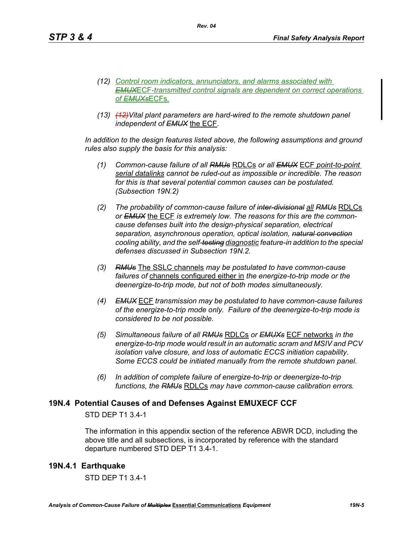- *(12) Control room indicators, annunciators, and alarms associated with EMUX*ECF*-transmitted control signals are dependent on correct operations of EMUXs*ECFs*.*
- *(13) (12)Vital plant parameters are hard-wired to the remote shutdown panel independent of EMUX* the ECF*.*

*Rev. 04*

In addition to the design features listed above, the following assumptions and ground *rules also supply the basis for this analysis:*

- *(1) Common-cause failure of all RMUs* RDLCs *or all EMUX* ECF *point-to-point serial datalinks cannot be ruled-out as impossible or incredible. The reason for this is that several potential common causes can be postulated. (Subsection 19N.2)*
- *(2) The probability of common-cause failure of inter-divisional all RMUs* RDLCs *or EMUX* the ECF *is extremely low. The reasons for this are the commoncause defenses built into the design-physical separation, electrical separation, asynchronous operation, optical isolation, natural convection cooling ability, and the self-testing diagnostic feature-in addition to the special defenses discussed in Subsection 19N.2.*
- *(3) RMUs* The SSLC channels *may be postulated to have common-cause failures of* channels configured either in *the energize-to-trip mode or the deenergize-to-trip mode, but not of both modes simultaneously.*
- *(4) EMUX* ECF *transmission may be postulated to have common-cause failures of the energize-to-trip mode only. Failure of the deenergize-to-trip mode is considered to be not possible.*
- *(5) Simultaneous failure of all RMUs* RDLCs *or EMUXs* ECF networks *in the energize-to-trip mode would result in an automatic scram and MSIV and PCV isolation valve closure, and loss of automatic ECCS initiation capability. Some ECCS could be initiated manually from the remote shutdown panel.*
- *(6) In addition of complete failure of energize-to-trip or deenergize-to-trip functions, the RMUs* RDLCs *may have common-cause calibration errors.*

## **19N.4 Potential Causes of and Defenses Against EMUXECF CCF**

## STD DEP T1 3.4-1

The information in this appendix section of the reference ABWR DCD, including the above title and all subsections, is incorporated by reference with the standard departure numbered STD DEP T1 3.4-1.

## **19N.4.1 Earthquake**

STD DEP T1 3.4-1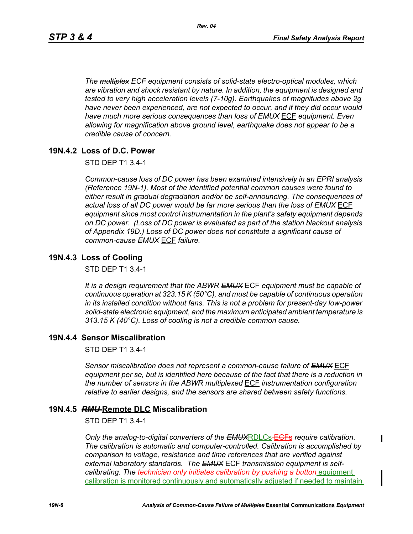*The multiplex ECF equipment consists of solid-state electro-optical modules, which are vibration and shock resistant by nature. In addition, the equipment is designed and tested to very high acceleration levels (7-10g). Earthquakes of magnitudes above 2g*  have never been experienced, are not expected to occur, and if they did occur would *have much more serious consequences than loss of EMUX* ECF *equipment. Even allowing for magnification above ground level, earthquake does not appear to be a credible cause of concern.*

## **19N.4.2 Loss of D.C. Power**

STD DEP T1 3.4-1

*Common-cause loss of DC power has been examined intensively in an EPRI analysis (Reference 19N-1). Most of the identified potential common causes were found to either result in gradual degradation and/or be self-announcing. The consequences of actual loss of all DC power would be far more serious than the loss of EMUX* ECF *equipment since most control instrumentation in the plant's safety equipment depends on DC power. (Loss of DC power is evaluated as part of the station blackout analysis of Appendix 19D.) Loss of DC power does not constitute a significant cause of common-cause EMUX* ECF *failure.* 

#### **19N.4.3 Loss of Cooling**

STD DEP T1 3.4-1

*It is a design requirement that the ABWR EMUX* ECF *equipment must be capable of continuous operation at 323.15 K (50°C), and must be capable of continuous operation in its installed condition without fans. This is not a problem for present-day low-power solid-state electronic equipment, and the maximum anticipated ambient temperature is 313.15 K (40°C). Loss of cooling is not a credible common cause.* 

## **19N.4.4 Sensor Miscalibration**

STD DEP T1 3.4-1

*Sensor miscalibration does not represent a common-cause failure of EMUX* ECF *equipment per se, but is identified here because of the fact that there is a reduction in the number of sensors in the ABWR multiplexed* ECF *instrumentation configuration relative to earlier designs, and the sensors are shared between safety functions.* 

#### **19N.4.5** *RMU* **Remote DLC Miscalibration**

STD DEP T1 3.4-1

*Only the analog-to-digital converters of the EMUX*RDLCs ECFs *require calibration. The calibration is automatic and computer-controlled. Calibration is accomplished by comparison to voltage, resistance and time references that are verified against external laboratory standards. The EMUX* ECF *transmission equipment is selfcalibrating. The technician only initiates calibration by pushing a button* equipment calibration is monitored continuously and automatically adjusted if needed to maintain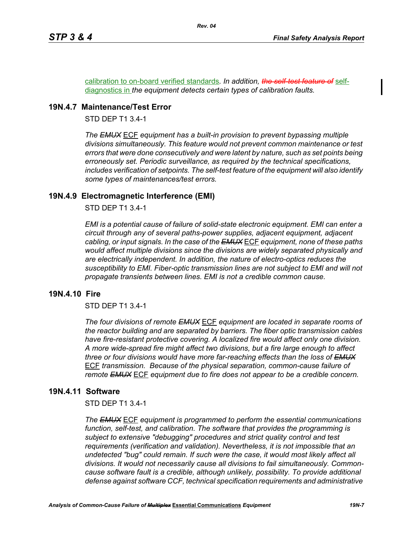calibration to on-board verified standards*. In addition, the self-test feature of* selfdiagnostics in *the equipment detects certain types of calibration faults.* 

# **19N.4.7 Maintenance/Test Error**

STD DEP T1 3.4-1

*The EMUX* ECF *equipment has a built-in provision to prevent bypassing multiple divisions simultaneously. This feature would not prevent common maintenance or test errors that were done consecutively and were latent by nature, such as set points being erroneously set. Periodic surveillance, as required by the technical specifications, includes verification of setpoints. The self-test feature of the equipment will also identify some types of maintenances/test errors.* 

# **19N.4.9 Electromagnetic Interference (EMI)**

STD DEP T1 3.4-1

*EMI is a potential cause of failure of solid-state electronic equipment. EMI can enter a circuit through any of several paths-power supplies, adjacent equipment, adjacent cabling, or input signals. In the case of the EMUX* ECF *equipment, none of these paths would affect multiple divisions since the divisions are widely separated physically and are electrically independent. In addition, the nature of electro-optics reduces the susceptibility to EMI. Fiber-optic transmission lines are not subject to EMI and will not propagate transients between lines. EMI is not a credible common cause.* 

## **19N.4.10 Fire**

STD DEP T1 3.4-1

*The four divisions of remote EMUX* ECF *equipment are located in separate rooms of the reactor building and are separated by barriers. The fiber optic transmission cables have fire-resistant protective covering. A localized fire would affect only one division. A more wide-spread fire might affect two divisions, but a fire large enough to affect three or four divisions would have more far-reaching effects than the loss of EMUX* ECF *transmission. Because of the physical separation, common-cause failure of remote EMUX* ECF *equipment due to fire does not appear to be a credible concern.* 

# **19N.4.11 Software**

#### STD DEP T1 3.4-1

*The EMUX* ECF *equipment is programmed to perform the essential communications function, self-test, and calibration. The software that provides the programming is subject to extensive "debugging" procedures and strict quality control and test requirements (verification and validation). Nevertheless, it is not impossible that an undetected "bug" could remain. If such were the case, it would most likely affect all divisions. It would not necessarily cause all divisions to fail simultaneously. Commoncause software fault is a credible, although unlikely, possibility. To provide additional defense against software CCF, technical specification requirements and administrative*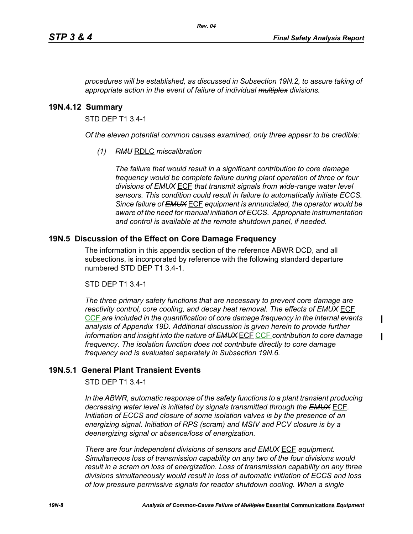$\blacksquare$ 

*procedures will be established, as discussed in Subsection 19N.2, to assure taking of appropriate action in the event of failure of individual multiplex divisions.* 

#### **19N.4.12 Summary**

STD DEP T1 3.4-1

*Of the eleven potential common causes examined, only three appear to be credible:* 

*(1) RMU* RDLC *miscalibration*

*The failure that would result in a significant contribution to core damage frequency would be complete failure during plant operation of three or four divisions of EMUX* ECF *that transmit signals from wide-range water level sensors. This condition could result in failure to automatically initiate ECCS. Since failure of EMUX* ECF *equipment is annunciated, the operator would be aware of the need for manual initiation of ECCS. Appropriate instrumentation and control is available at the remote shutdown panel, if needed.* 

#### **19N.5 Discussion of the Effect on Core Damage Frequency**

The information in this appendix section of the reference ABWR DCD, and all subsections, is incorporated by reference with the following standard departure numbered STD DEP T1 3.4-1.

#### STD DEP T1 3.4-1

*The three primary safety functions that are necessary to prevent core damage are reactivity control, core cooling, and decay heat removal. The effects of EMUX* ECF CCF *are included in the quantification of core damage frequency in the internal events analysis of Appendix 19D. Additional discussion is given herein to provide further information and insight into the nature of EMUX* ECF CCF *contribution to core damage frequency. The isolation function does not contribute directly to core damage frequency and is evaluated separately in Subsection 19N.6.* 

## **19N.5.1 General Plant Transient Events**

#### STD DEP T1 3.4-1

*In the ABWR, automatic response of the safety functions to a plant transient producing decreasing water level is initiated by signals transmitted through the EMUX* ECF*. Initiation of ECCS and closure of some isolation valves is by the presence of an energizing signal. Initiation of RPS (scram) and MSIV and PCV closure is by a deenergizing signal or absence/loss of energization.* 

*There are four independent divisions of sensors and EMUX* ECF *equipment. Simultaneous loss of transmission capability on any two of the four divisions would result in a scram on loss of energization. Loss of transmission capability on any three divisions simultaneously would result in loss of automatic initiation of ECCS and loss of low pressure permissive signals for reactor shutdown cooling. When a single*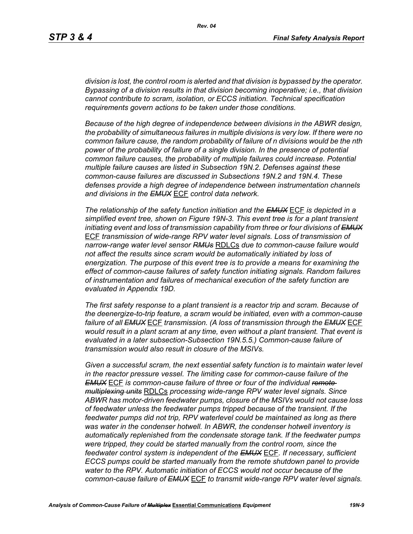*division is lost, the control room is alerted and that division is bypassed by the operator. Bypassing of a division results in that division becoming inoperative; i.e., that division cannot contribute to scram, isolation, or ECCS initiation. Technical specification requirements govern actions to be taken under those conditions.* 

*Because of the high degree of independence between divisions in the ABWR design, the probability of simultaneous failures in multiple divisions is very low. If there were no common failure cause, the random probability of failure of n divisions would be the nth power of the probability of failure of a single division. In the presence of potential common failure causes, the probability of multiple failures could increase. Potential multiple failure causes are listed in Subsection 19N.2. Defenses against these common-cause failures are discussed in Subsections 19N.2 and 19N.4. These defenses provide a high degree of independence between instrumentation channels and divisions in the EMUX* ECF *control data network.* 

*The relationship of the safety function initiation and the EMUX* ECF *is depicted in a simplified event tree, shown on Figure 19N-3. This event tree is for a plant transient initiating event and loss of transmission capability from three or four divisions of EMUX* ECF *transmission of wide-range RPV water level signals. Loss of transmission of narrow-range water level sensor RMUs* RDLCs *due to common-cause failure would not affect the results since scram would be automatically initiated by loss of energization. The purpose of this event tree is to provide a means for examining the effect of common-cause failures of safety function initiating signals. Random failures of instrumentation and failures of mechanical execution of the safety function are evaluated in Appendix 19D.*

*The first safety response to a plant transient is a reactor trip and scram. Because of the deenergize-to-trip feature, a scram would be initiated, even with a common-cause failure of all EMUX* ECF *transmission. (A loss of transmission through the EMUX* ECF *would result in a plant scram at any time, even without a plant transient. That event is evaluated in a later subsection-Subsection 19N.5.5.) Common-cause failure of transmission would also result in closure of the MSIVs.* 

*Given a successful scram, the next essential safety function is to maintain water level in the reactor pressure vessel. The limiting case for common-cause failure of the EMUX* ECF *is common-cause failure of three or four of the individual remote multiplexing units* RDLCs *processing wide-range RPV water level signals. Since ABWR has motor-driven feedwater pumps, closure of the MSIVs would not cause loss of feedwater unless the feedwater pumps tripped because of the transient. If the feedwater pumps did not trip, RPV waterlevel could be maintained as long as there was water in the condenser hotwell. In ABWR, the condenser hotwell inventory is automatically replenished from the condensate storage tank. If the feedwater pumps were tripped, they could be started manually from the control room, since the feedwater control system is independent of the EMUX* ECF*. If necessary, sufficient ECCS pumps could be started manually from the remote shutdown panel to provide water to the RPV. Automatic initiation of ECCS would not occur because of the common-cause failure of EMUX* ECF *to transmit wide-range RPV water level signals.*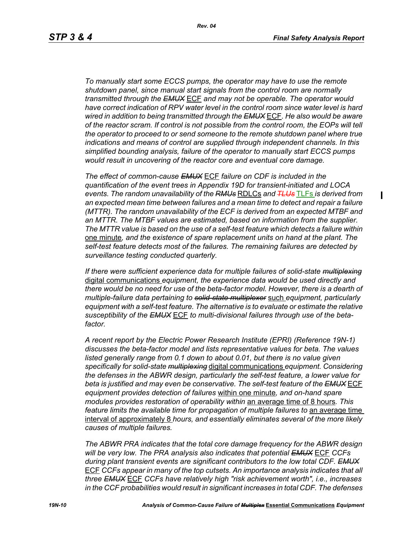*To manually start some ECCS pumps, the operator may have to use the remote shutdown panel, since manual start signals from the control room are normally transmitted through the EMUX* ECF *and may not be operable. The operator would have correct indication of RPV water level in the control room since water level is hard wired in addition to being transmitted through the EMUX* ECF*. He also would be aware of the reactor scram. If control is not possible from the control room, the EOPs will tell the operator to proceed to or send someone to the remote shutdown panel where true indications and means of control are supplied through independent channels. In this simplified bounding analysis, failure of the operator to manually start ECCS pumps would result in uncovering of the reactor core and eventual core damage.*

*The effect of common-cause EMUX* ECF *failure on CDF is included in the quantification of the event trees in Appendix 19D for transient-initiated and LOCA events. The random unavailability of the RMUs* RDLCs *and TLUs* TLFs *is derived from an expected mean time between failures and a mean time to detect and repair a failure (MTTR). The random unavailability of the ECF is derived from an expected MTBF and an MTTR. The MTBF values are estimated, based on information from the supplier. The MTTR value is based on the use of a self-test feature which detects a failure within*  one minute*, and the existence of spare replacement units on hand at the plant. The self-test feature detects most of the failures. The remaining failures are detected by surveillance testing conducted quarterly.* 

*If there were sufficient experience data for multiple failures of solid-state multiplexing* digital communications *equipment, the experience data would be used directly and there would be no need for use of the beta-factor model. However, there is a dearth of multiple-failure data pertaining to solid-state multiplexer* such *equipment, particularly equipment with a self-test feature. The alternative is to evaluate or estimate the relative susceptibility of the EMUX* ECF *to multi-divisional failures through use of the betafactor.* 

*A recent report by the Electric Power Research Institute (EPRI) (Reference 19N-1) discusses the beta-factor model and lists representative values for beta. The values listed generally range from 0.1 down to about 0.01, but there is no value given specifically for solid-state multiplexing* digital communications *equipment. Considering the defenses in the ABWR design, particularly the self-test feature, a lower value for beta is justified and may even be conservative. The self-test feature of the EMUX* ECF *equipment provides detection of failures* within one minute*, and on-hand spare modules provides restoration of operability within* an average time of 8 hours*. This feature limits the available time for propagation of multiple failures to an average time* interval of approximately 8 *hours, and essentially eliminates several of the more likely causes of multiple failures.* 

*The ABWR PRA indicates that the total core damage frequency for the ABWR design will be very low. The PRA analysis also indicates that potential EMUX* ECF *CCFs during plant transient events are significant contributors to the low total CDF. EMUX* ECF *CCFs appear in many of the top cutsets. An importance analysis indicates that all three EMUX* ECF *CCFs have relatively high "risk achievement worth", i.e., increases in the CCF probabilities would result in significant increases in total CDF. The defenses*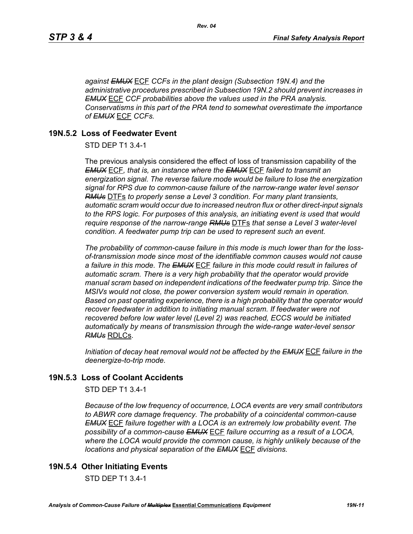*against EMUX* ECF *CCFs in the plant design (Subsection 19N.4) and the administrative procedures prescribed in Subsection 19N.2 should prevent increases in EMUX* ECF *CCF probabilities above the values used in the PRA analysis. Conservatisms in this part of the PRA tend to somewhat overestimate the importance of EMUX* ECF *CCFs.* 

# **19N.5.2 Loss of Feedwater Event**

STD DEP T1 3.4-1

The previous analysis considered the effect of loss of transmission capability of the *EMUX* ECF*, that is, an instance where the EMUX* ECF *failed to transmit an energization signal. The reverse failure mode would be failure to lose the energization signal for RPS due to common-cause failure of the narrow-range water level sensor RMUs* DTFs *to properly sense a Level 3 condition. For many plant transients, automatic scram would occur due to increased neutron flux or other direct-input signals to the RPS logic. For purposes of this analysis, an initiating event is used that would require response of the narrow-range RMUs* DTFs *that sense a Level 3 water-level condition. A feedwater pump trip can be used to represent such an event.*

*The probability of common-cause failure in this mode is much lower than for the lossof-transmission mode since most of the identifiable common causes would not cause a failure in this mode. The EMUX* ECF *failure in this mode could result in failures of automatic scram. There is a very high probability that the operator would provide manual scram based on independent indications of the feedwater pump trip. Since the MSIVs would not close, the power conversion system would remain in operation. Based on past operating experience, there is a high probability that the operator would recover feedwater in addition to initiating manual scram. If feedwater were not recovered before low water level (Level 2) was reached, ECCS would be initiated automatically by means of transmission through the wide-range water-level sensor RMUs* RDLCs.

*Initiation of decay heat removal would not be affected by the EMUX* ECF *failure in the deenergize-to-trip mode.*

# **19N.5.3 Loss of Coolant Accidents**

STD DEP T1 3.4-1

*Because of the low frequency of occurrence, LOCA events are very small contributors to ABWR core damage frequency. The probability of a coincidental common-cause EMUX* ECF *failure together with a LOCA is an extremely low probability event. The possibility of a common-cause EMUX* ECF *failure occurring as a result of a LOCA, where the LOCA would provide the common cause, is highly unlikely because of the locations and physical separation of the EMUX* ECF *divisions.* 

# **19N.5.4 Other Initiating Events**

STD DEP T1 3.4-1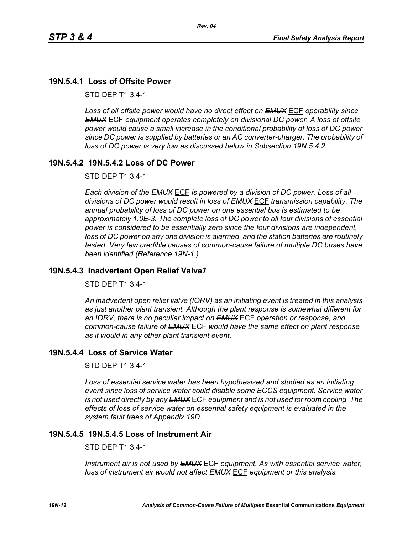# **19N.5.4.1 Loss of Offsite Power**

STD DEP T1 3.4-1

*Loss of all offsite power would have no direct effect on EMUX* ECF *operability since EMUX* ECF *equipment operates completely on divisional DC power. A loss of offsite power would cause a small increase in the conditional probability of loss of DC power since DC power is supplied by batteries or an AC converter-charger. The probability of loss of DC power is very low as discussed below in Subsection 19N.5.4.2.* 

# **19N.5.4.2 19N.5.4.2 Loss of DC Power**

STD DEP T1 3.4-1

*Each division of the EMUX* ECF *is powered by a division of DC power. Loss of all divisions of DC power would result in loss of EMUX* ECF *transmission capability. The annual probability of loss of DC power on one essential bus is estimated to be approximately 1.0E-3. The complete loss of DC power to all four divisions of essential power is considered to be essentially zero since the four divisions are independent, loss of DC power on any one division is alarmed, and the station batteries are routinely tested. Very few credible causes of common-cause failure of multiple DC buses have been identified (Reference 19N-1.)*

## **19N.5.4.3 Inadvertent Open Relief Valve7**

STD DEP T1 3.4-1

*An inadvertent open relief valve (IORV) as an initiating event is treated in this analysis as just another plant transient. Although the plant response is somewhat different for an IORV, there is no peculiar impact on EMUX* ECF *operation or response, and common-cause failure of EMUX* ECF *would have the same effect on plant response as it would in any other plant transient event.*

## **19N.5.4.4 Loss of Service Water**

STD DEP T1 3.4-1

*Loss of essential service water has been hypothesized and studied as an initiating event since loss of service water could disable some ECCS equipment. Service water is not used directly by any EMUX* ECF *equipment and is not used for room cooling. The effects of loss of service water on essential safety equipment is evaluated in the system fault trees of Appendix 19D.* 

# **19N.5.4.5 19N.5.4.5 Loss of Instrument Air**

STD DEP T1 3.4-1

*Instrument air is not used by EMUX* ECF *equipment. As with essential service water, loss of instrument air would not affect EMUX* ECF *equipment or this analysis.*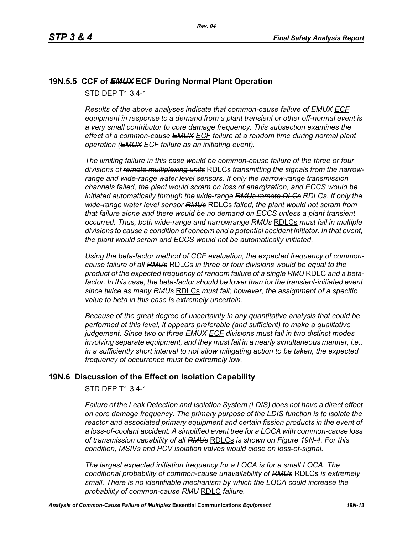# **19N.5.5 CCF of** *EMUX* **ECF During Normal Plant Operation**

STD DEP T1 3.4-1

*Results of the above analyses indicate that common-cause failure of EMUX ECF equipment in response to a demand from a plant transient or other off-normal event is a very small contributor to core damage frequency. This subsection examines the effect of a common-cause EMUX ECF failure at a random time during normal plant operation (EMUX ECF failure as an initiating event).* 

*The limiting failure in this case would be common-cause failure of the three or four divisions of remote multiplexing units* RDLCs *transmitting the signals from the narrowrange and wide-range water level sensors. If only the narrow-range transmission channels failed, the plant would scram on loss of energization, and ECCS would be initiated automatically through the wide-range RMUs remote DLCs RDLCs. If only the wide-range water level sensor RMUs* RDLCs *failed, the plant would not scram from that failure alone and there would be no demand on ECCS unless a plant transient occurred. Thus, both wide-range and narrowrange RMUs* RDLCs *must fail in multiple divisions to cause a condition of concern and a potential accident initiator. In that event, the plant would scram and ECCS would not be automatically initiated.* 

*Using the beta-factor method of CCF evaluation, the expected frequency of commoncause failure of all RMUs* RDLCs *in three or four divisions would be equal to the product of the expected frequency of random failure of a single RMU* RDLC *and a beta*factor. In this case, the beta-factor should be lower than for the transient-initiated event *since twice as many RMUs* RDLCs *must fail; however, the assignment of a specific value to beta in this case is extremely uncertain.* 

*Because of the great degree of uncertainty in any quantitative analysis that could be performed at this level, it appears preferable (and sufficient) to make a qualitative judgement. Since two or three EMUX ECF divisions must fail in two distinct modes involving separate equipment, and they must fail in a nearly simultaneous manner, i.e., in a sufficiently short interval to not allow mitigating action to be taken, the expected frequency of occurrence must be extremely low.*

# **19N.6 Discussion of the Effect on Isolation Capability**

STD DEP T1 3.4-1

*Failure of the Leak Detection and Isolation System (LDIS) does not have a direct effect on core damage frequency. The primary purpose of the LDIS function is to isolate the reactor and associated primary equipment and certain fission products in the event of a loss-of-coolant accident. A simplified event tree for a LOCA with common-cause loss of transmission capability of all RMUs* RDLCs *is shown on Figure 19N-4. For this condition, MSIVs and PCV isolation valves would close on loss-of-signal.* 

*The largest expected initiation frequency for a LOCA is for a small LOCA. The conditional probability of common-cause unavailability of RMUs* RDLCs *is extremely small. There is no identifiable mechanism by which the LOCA could increase the probability of common-cause RMU* RDLC *failure.*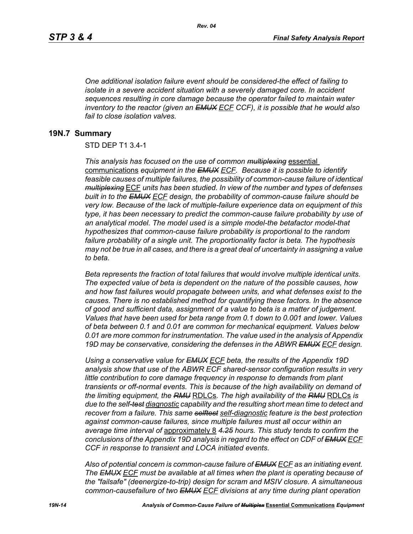*One additional isolation failure event should be considered-the effect of failing to isolate in a severe accident situation with a severely damaged core. In accident sequences resulting in core damage because the operator failed to maintain water inventory to the reactor (given an EMUX ECF CCF), it is possible that he would also fail to close isolation valves.*

#### **19N.7 Summary**

#### STD DEP T1 3.4-1

*This analysis has focused on the use of common multiplexing* essential communications *equipment in the EMUX ECF. Because it is possible to identify feasible causes of multiple failures, the possibility of common-cause failure of identical multiplexing* ECF *units has been studied. In view of the number and types of defenses built in to the EMUX ECF design, the probability of common-cause failure should be very low. Because of the lack of multiple-failure experience data on equipment of this type, it has been necessary to predict the common-cause failure probability by use of an analytical model. The model used is a simple model-the betafactor model-that hypothesizes that common-cause failure probability is proportional to the random failure probability of a single unit. The proportionality factor is beta. The hypothesis may not be true in all cases, and there is a great deal of uncertainty in assigning a value to beta.* 

*Beta represents the fraction of total failures that would involve multiple identical units. The expected value of beta is dependent on the nature of the possible causes, how and how fast failures would propagate between units, and what defenses exist to the causes. There is no established method for quantifying these factors. In the absence of good and sufficient data, assignment of a value to beta is a matter of judgement. Values that have been used for beta range from 0.1 down to 0.001 and lower. Values of beta between 0.1 and 0.01 are common for mechanical equipment. Values below 0.01 are more common for instrumentation. The value used in the analysis of Appendix 19D may be conservative, considering the defenses in the ABWR EMUX ECF design.* 

*Using a conservative value for EMUX ECF beta, the results of the Appendix 19D analysis show that use of the ABWR ECF shared-sensor configuration results in very little contribution to core damage frequency in response to demands from plant transients or off-normal events. This is because of the high availability on demand of the limiting equipment, the RMU* RDLCs*. The high availability of the RMU* RDLCs *is due to the self-test diagnostic capability and the resulting short mean time to detect and recover from a failure. This same selftest self-diagnostic feature is the best protection against common-cause failures, since multiple failures must all occur within an average time interval of* approximately 8 *4.25 hours. This study tends to confirm the conclusions of the Appendix 19D analysis in regard to the effect on CDF of EMUX ECF CCF in response to transient and LOCA initiated events.*

*Also of potential concern is common-cause failure of EMUX ECF as an initiating event. The EMUX ECF must be available at all times when the plant is operating because of the "failsafe" (deenergize-to-trip) design for scram and MSIV closure. A simultaneous common-causefailure of two EMUX ECF divisions at any time during plant operation*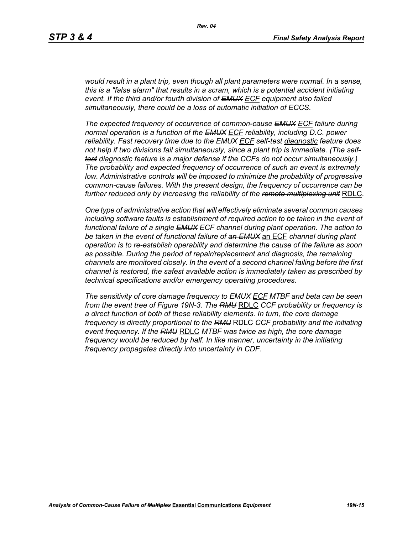*would result in a plant trip, even though all plant parameters were normal. In a sense, this is a "false alarm" that results in a scram, which is a potential accident initiating event. If the third and/or fourth division of EMUX ECF equipment also failed simultaneously, there could be a loss of automatic initiation of ECCS.* 

*The expected frequency of occurrence of common-cause EMUX ECF failure during normal operation is a function of the EMUX ECF reliability, including D.C. power reliability. Fast recovery time due to the EMUX ECF self-test diagnostic feature does not help if two divisions fail simultaneously, since a plant trip is immediate. (The selftest diagnostic feature is a major defense if the CCFs do not occur simultaneously.) The probability and expected frequency of occurrence of such an event is extremely low. Administrative controls will be imposed to minimize the probability of progressive common-cause failures. With the present design, the frequency of occurrence can be further reduced only by increasing the reliability of the remote multiplexing unit* RDLC*.*

*One type of administrative action that will effectively eliminate several common causes including software faults is establishment of required action to be taken in the event of functional failure of a single EMUX ECF channel during plant operation. The action to be taken in the event of functional failure of an EMUX* an ECF *channel during plant operation is to re-establish operability and determine the cause of the failure as soon as possible. During the period of repair/replacement and diagnosis, the remaining channels are monitored closely. In the event of a second channel failing before the first channel is restored, the safest available action is immediately taken as prescribed by technical specifications and/or emergency operating procedures.* 

*The sensitivity of core damage frequency to EMUX ECF MTBF and beta can be seen from the event tree of Figure 19N-3. The RMU* RDLC *CCF probability or frequency is a direct function of both of these reliability elements. In turn, the core damage frequency is directly proportional to the RMU* RDLC *CCF probability and the initiating event frequency. If the RMU* RDLC *MTBF was twice as high, the core damage frequency would be reduced by half. In like manner, uncertainty in the initiating frequency propagates directly into uncertainty in CDF.*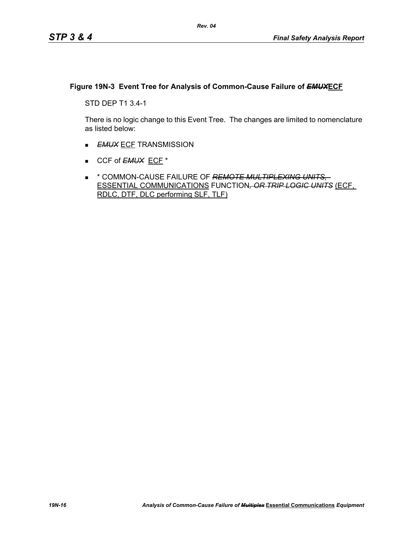# **Figure 19N-3 Event Tree for Analysis of Common-Cause Failure of** *EMUX***ECF**

STD DEP T1 3.4-1

There is no logic change to this Event Tree. The changes are limited to nomenclature as listed below:

- **EMUX ECF TRANSMISSION**
- CCF of **EMUX** ECF<sup>\*</sup>
- \* COMMON-CAUSE FAILURE OF *REMOTE MULTIPLEXING UNITS,*  ESSENTIAL COMMUNICATIONS FUNCTION*, OR TRIP LOGIC UNITS* (ECF, RDLC, DTF, DLC performing SLF, TLF)